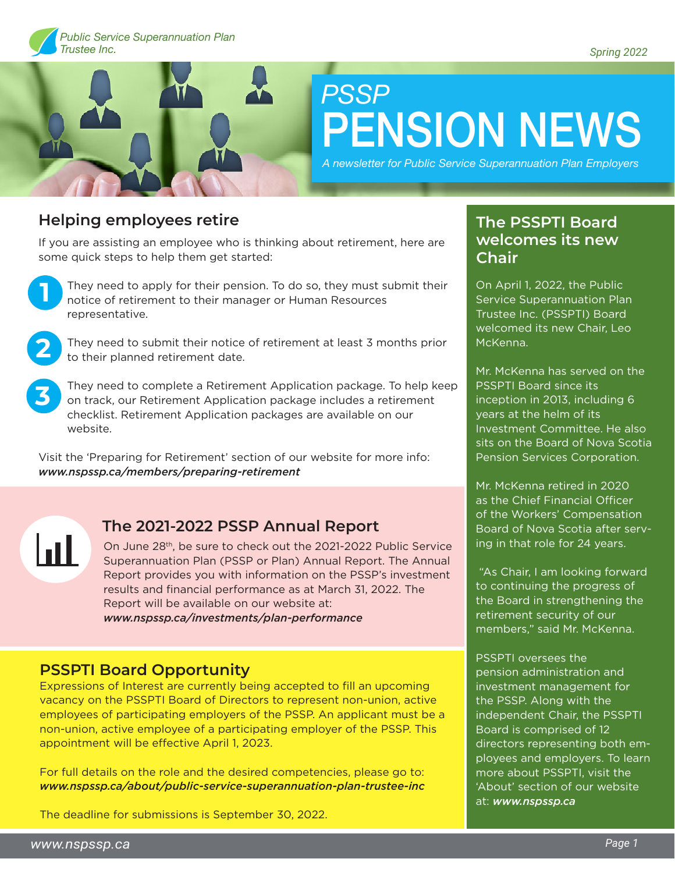

# *PSSP* PENSION NEWS

*A newsletter for Public Service Superannuation Plan Employers*

### **Helping employees retire**

If you are assisting an employee who is thinking about retirement, here are some quick steps to help them get started:



They need to apply for their pension. To do so, they must submit their notice of retirement to their manager or Human Resources representative.



**3**

They need to submit their notice of retirement at least 3 months prior to their planned retirement date.

They need to complete a Retirement Application package. To help keep on track, our Retirement Application package includes a retirement checklist. Retirement Application packages are available on our website.

Visit the 'Preparing for Retirement' section of our website for more info: *www.nspssp.ca/members/preparing-retirement*

Ш

#### **The 2021-2022 PSSP Annual Report**

On June 28th, be sure to check out the 2021-2022 Public Service Superannuation Plan (PSSP or Plan) Annual Report. The Annual Report provides you with information on the PSSP's investment results and financial performance as at March 31, 2022. The Report will be available on our website at: *www.nspssp.ca/investments/plan-performance*

#### **PSSPTI Board Opportunity**

Expressions of Interest are currently being accepted to fill an upcoming vacancy on the PSSPTI Board of Directors to represent non-union, active employees of participating employers of the PSSP. An applicant must be a non-union, active employee of a participating employer of the PSSP. This appointment will be effective April 1, 2023.

For full details on the role and the desired competencies, please go to: *www.nspssp.ca/about/public-service-superannuation-plan-trustee-inc*

The deadline for submissions is September 30, 2022.

#### **The PSSPTI Board welcomes its new Chair**

On April 1, 2022, the Public Service Superannuation Plan Trustee Inc. (PSSPTI) Board welcomed its new Chair, Leo McKenna.

Mr. McKenna has served on the PSSPTI Board since its inception in 2013, including 6 years at the helm of its Investment Committee. He also sits on the Board of Nova Scotia Pension Services Corporation.

Mr. McKenna retired in 2020 as the Chief Financial Officer of the Workers' Compensation Board of Nova Scotia after serving in that role for 24 years.

 "As Chair, I am looking forward to continuing the progress of the Board in strengthening the retirement security of our members," said Mr. McKenna.

PSSPTI oversees the pension administration and investment management for the PSSP. Along with the independent Chair, the PSSPTI Board is comprised of 12 directors representing both employees and employers. To learn more about PSSPTI, visit the 'About' section of our website at: *www.nspssp.ca*